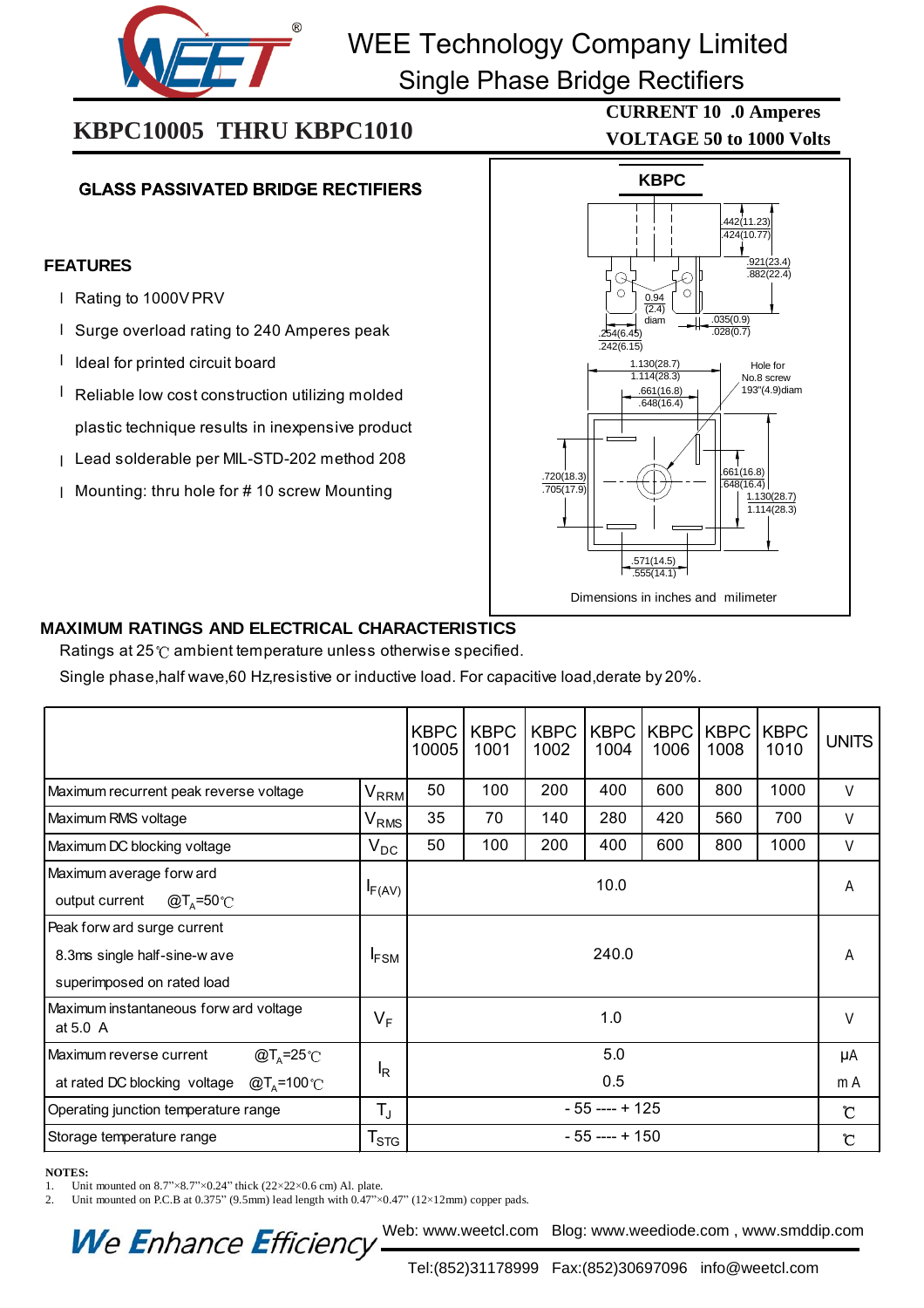

# WEE Technology Company Limited

Single Phase Bridge Rectifiers

i<br>I

## **KBPC10005 THRU KBPC1010**

### **GLASS PASSIVATED BRIDGE RECTIFIERS**

#### **FEATURES**

- I Rating to 1000V PRV
- I Surge overload rating to 240 Amperes peak
- I Ideal for printed circuit board
- I Reliable low cost construction utilizing molded plastic technique results in inexpensive product
- Lead solderable per MIL-STD-202 method 208 l
- Mounting: thru hole for # 10 screw Mounting l



### **MAXIMUM RATINGS AND ELECTRICAL CHARACTERISTICS**

Ratings at  $25^\circ$  ambient temperature unless otherwise specified.

Single phase,half wave,60 Hz,resistive or inductive load. For capacitive load,derate by 20%.

|                                                    |                             | <b>KBPC</b><br>10005 | <b>KBPC</b><br>1001 | <b>KBPC</b><br>1002 | <b>KBPC</b><br>1004 | <b>KBPC</b><br>1006 | <b>KBPC</b><br>1008 | <b>KBPC</b><br>1010 | <b>UNITS</b>         |
|----------------------------------------------------|-----------------------------|----------------------|---------------------|---------------------|---------------------|---------------------|---------------------|---------------------|----------------------|
| Maximum recurrent peak reverse voltage             | <b>V<sub>RRM</sub></b>      | 50                   | 100                 | 200                 | 400                 | 600                 | 800                 | 1000                | V                    |
| Maximum RMS voltage                                | $\mathsf{V}_{\mathsf{RMS}}$ | 35                   | 70                  | 140                 | 280                 | 420                 | 560                 | 700                 | $\vee$               |
| Maximum DC blocking voltage                        | $V_{DC}$                    | 50                   | 100                 | 200                 | 400                 | 600                 | 800                 | 1000                | V                    |
| Maximum average forw ard                           |                             | 10.0                 |                     |                     |                     |                     |                     |                     | Α                    |
| @T <sub>^</sub> =50℃<br>output current             | $I_{F(AV)}$                 |                      |                     |                     |                     |                     |                     |                     |                      |
| Peak forw ard surge current                        |                             | 240.0                |                     |                     |                     |                     |                     |                     | Α                    |
| 8.3ms single half-sine-w ave                       | <b>IFSM</b>                 |                      |                     |                     |                     |                     |                     |                     |                      |
| superimposed on rated load                         |                             |                      |                     |                     |                     |                     |                     |                     |                      |
| Maximum instantaneous forw ard voltage<br>at 5.0 A | $V_F$                       | 1.0                  |                     |                     |                     |                     |                     | V                   |                      |
| Maximum reverse current<br>@T <sub>A</sub> =25°C   |                             | 5.0                  |                     |                     |                     |                     |                     |                     | μA                   |
| $@TA=100°C$<br>at rated DC blocking voltage        | $I_R$                       | 0.5                  |                     |                     |                     |                     |                     |                     | m A                  |
| Operating junction temperature range               | $T_{\rm J}$                 | $-55$ ---- + 125     |                     |                     |                     |                     |                     |                     | $\mathbf{\tilde{C}}$ |
| Storage temperature range                          | $\mathsf{T}_{\text{STG}}$   | $-55$ ---- + 150     |                     |                     |                     |                     |                     |                     | Ĉ                    |

#### **NOTES:**

1. Unit mounted on  $8.7$ " $\times$ 8.7" $\times$ 0.24" thick (22×22×0.6 cm) Al. plate.

We Enhance Efficiency

2. Unit mounted on P.C.B at 0.375" (9.5mm) lead length with  $0.47$ " $\times$ 0.47" (12×12mm) copper pads.

**VOLTAGE 50 to 1000 Volts CURRENT 10 .0 Amperes**

### Tel:(852)31178999 Fax:(852)30697096 info@weetcl.com

Web: www.weetcl.com Blog: www.weediode.com , www.smddip.com